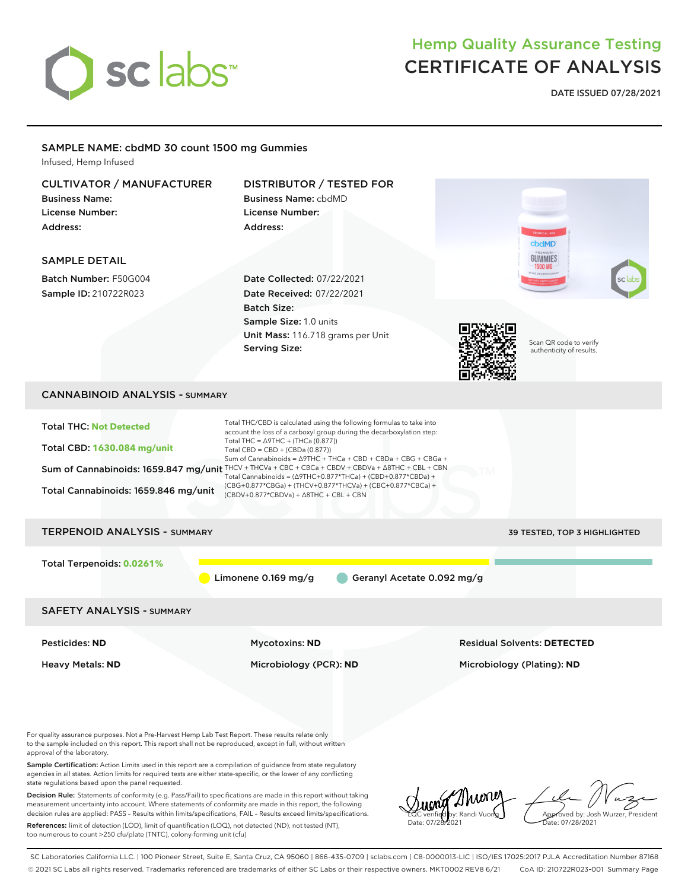

**DATE ISSUED 07/28/2021**

## SAMPLE NAME: cbdMD 30 count 1500 mg Gummies

Infused, Hemp Infused

| <b>CULTIVATOR / MANUFACTURER</b><br><b>Business Name:</b><br><b>License Number:</b><br>Address:                                                                                                                                                                                         | DISTRIBUTOR / TESTED FOR<br><b>Business Name: cbdMD</b><br>License Number:<br>Address:                                                                                                                                                                                                                                                                                                                                                                                                                                                                                                                         | cbdMD                                              |
|-----------------------------------------------------------------------------------------------------------------------------------------------------------------------------------------------------------------------------------------------------------------------------------------|----------------------------------------------------------------------------------------------------------------------------------------------------------------------------------------------------------------------------------------------------------------------------------------------------------------------------------------------------------------------------------------------------------------------------------------------------------------------------------------------------------------------------------------------------------------------------------------------------------------|----------------------------------------------------|
| <b>SAMPLE DETAIL</b>                                                                                                                                                                                                                                                                    |                                                                                                                                                                                                                                                                                                                                                                                                                                                                                                                                                                                                                | GUMMIES<br>1500 MG                                 |
| Batch Number: F50G004<br>Sample ID: 210722R023                                                                                                                                                                                                                                          | Date Collected: 07/22/2021<br><b>Date Received: 07/22/2021</b><br><b>Batch Size:</b><br>Sample Size: 1.0 units<br>Unit Mass: 116.718 grams per Unit<br><b>Serving Size:</b>                                                                                                                                                                                                                                                                                                                                                                                                                                    | Scan QR code to verify<br>authenticity of results. |
| <b>CANNABINOID ANALYSIS - SUMMARY</b>                                                                                                                                                                                                                                                   |                                                                                                                                                                                                                                                                                                                                                                                                                                                                                                                                                                                                                |                                                    |
| <b>Total THC: Not Detected</b><br><b>Total CBD: 1630.084 mg/unit</b><br>Total Cannabinoids: 1659.846 mg/unit                                                                                                                                                                            | Total THC/CBD is calculated using the following formulas to take into<br>account the loss of a carboxyl group during the decarboxylation step:<br>Total THC = $\triangle$ 9THC + (THCa (0.877))<br>Total CBD = CBD + (CBDa (0.877))<br>Sum of Cannabinoids = △9THC + THCa + CBD + CBDa + CBG + CBGa +<br>Sum of Cannabinoids: 1659.847 mg/unit THCV + THCVa + CBC + CBCa + CBDV + CBDVa + $\triangle$ 8THC + CBL + CBN<br>Total Cannabinoids = $(\Delta$ 9THC+0.877*THCa) + (CBD+0.877*CBDa) +<br>(CBG+0.877*CBGa) + (THCV+0.877*THCVa) + (CBC+0.877*CBCa) +<br>$(CBDV+0.877*CBDVa) + \Delta 8THC + CBL + CBN$ |                                                    |
| <b>TERPENOID ANALYSIS - SUMMARY</b>                                                                                                                                                                                                                                                     |                                                                                                                                                                                                                                                                                                                                                                                                                                                                                                                                                                                                                | 39 TESTED, TOP 3 HIGHLIGHTED                       |
| Total Terpenoids: 0.0261%                                                                                                                                                                                                                                                               | Limonene 0.169 mg/g<br>Geranyl Acetate 0.092 mg/g                                                                                                                                                                                                                                                                                                                                                                                                                                                                                                                                                              |                                                    |
| <b>SAFETY ANALYSIS - SUMMARY</b>                                                                                                                                                                                                                                                        |                                                                                                                                                                                                                                                                                                                                                                                                                                                                                                                                                                                                                |                                                    |
| <b>Pesticides: ND</b>                                                                                                                                                                                                                                                                   | <b>Mycotoxins: ND</b>                                                                                                                                                                                                                                                                                                                                                                                                                                                                                                                                                                                          | <b>Residual Solvents: DETECTED</b>                 |
| <b>Heavy Metals: ND</b>                                                                                                                                                                                                                                                                 | Microbiology (PCR): ND                                                                                                                                                                                                                                                                                                                                                                                                                                                                                                                                                                                         | Microbiology (Plating): ND                         |
| For quality assurance purposes. Not a Pre-Harvest Hemp Lab Test Report. These results relate only<br>to the sample included on this report. This report shall not be reproduced, except in full, without written<br>approval of the laboratory.                                         |                                                                                                                                                                                                                                                                                                                                                                                                                                                                                                                                                                                                                |                                                    |
| Sample Certification: Action Limits used in this report are a compilation of guidance from state regulatory<br>agencies in all states. Action limits for required tests are either state-specific, or the lower of any conflicting<br>state regulations based upon the panel requested. |                                                                                                                                                                                                                                                                                                                                                                                                                                                                                                                                                                                                                |                                                    |
|                                                                                                                                                                                                                                                                                         |                                                                                                                                                                                                                                                                                                                                                                                                                                                                                                                                                                                                                | Sung Murrey Le Nuz                                 |

References: limit of detection (LOD), limit of quantification (LOQ), not detected (ND), not tested (NT), too numerous to count >250 cfu/plate (TNTC), colony-forming unit (cfu)

LQC verified by: Randi Vuong Date: 07/28/2021

Approved by: Josh Wurzer, President Date: 07/28/2021

SC Laboratories California LLC. | 100 Pioneer Street, Suite E, Santa Cruz, CA 95060 | 866-435-0709 | sclabs.com | C8-0000013-LIC | ISO/IES 17025:2017 PJLA Accreditation Number 87168 © 2021 SC Labs all rights reserved. Trademarks referenced are trademarks of either SC Labs or their respective owners. MKT0002 REV8 6/21 CoA ID: 210722R023-001 Summary Page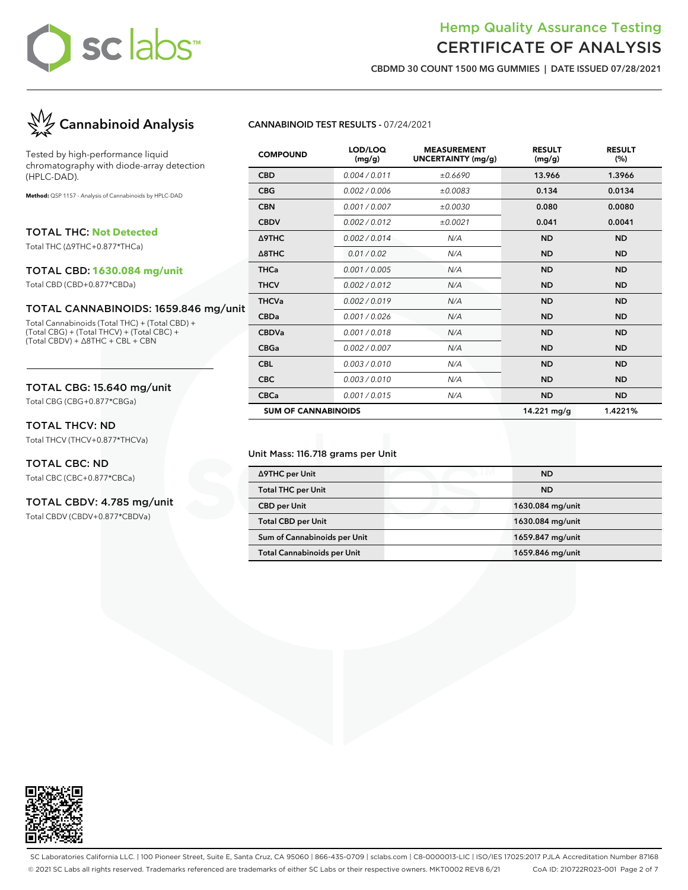## Hemp Quality Assurance Testing CERTIFICATE OF ANALYSIS

**CBDMD 30 COUNT 1500 MG GUMMIES | DATE ISSUED 07/28/2021**



Tested by high-performance liquid chromatography with diode-array detection (HPLC-DAD).

**Method:** QSP 1157 - Analysis of Cannabinoids by HPLC-DAD

TOTAL THC: **Not Detected**

Total THC (∆9THC+0.877\*THCa)

### TOTAL CBD: **1630.084 mg/unit**

Total CBD (CBD+0.877\*CBDa)

### TOTAL CANNABINOIDS: 1659.846 mg/unit

Total Cannabinoids (Total THC) + (Total CBD) + (Total CBG) + (Total THCV) + (Total CBC) + (Total CBDV) + ∆8THC + CBL + CBN

## TOTAL CBG: 15.640 mg/unit

Total CBG (CBG+0.877\*CBGa)

## TOTAL THCV: ND

Total THCV (THCV+0.877\*THCVa)

## TOTAL CBC: ND

Total CBC (CBC+0.877\*CBCa)

## TOTAL CBDV: 4.785 mg/unit

Total CBDV (CBDV+0.877\*CBDVa)

## **CANNABINOID TEST RESULTS -** 07/24/2021

| <b>COMPOUND</b>            | LOD/LOQ<br>(mg/g) | <b>MEASUREMENT</b><br><b>UNCERTAINTY (mg/g)</b> | <b>RESULT</b><br>(mg/g) | <b>RESULT</b><br>(%) |
|----------------------------|-------------------|-------------------------------------------------|-------------------------|----------------------|
| <b>CBD</b>                 | 0.004 / 0.011     | ±0.6690                                         | 13.966                  | 1.3966               |
| <b>CBG</b>                 | 0.002 / 0.006     | ±0.0083                                         | 0.134                   | 0.0134               |
| <b>CBN</b>                 | 0.001 / 0.007     | ±0.0030                                         | 0.080                   | 0.0080               |
| <b>CBDV</b>                | 0.002/0.012       | ±0.0021                                         | 0.041                   | 0.0041               |
| Δ9THC                      | 0.002/0.014       | N/A                                             | <b>ND</b>               | <b>ND</b>            |
| $\triangle$ 8THC           | 0.01 / 0.02       | N/A                                             | <b>ND</b>               | <b>ND</b>            |
| <b>THCa</b>                | 0.001 / 0.005     | N/A                                             | <b>ND</b>               | <b>ND</b>            |
| <b>THCV</b>                | 0.002/0.012       | N/A                                             | <b>ND</b>               | <b>ND</b>            |
| <b>THCVa</b>               | 0.002 / 0.019     | N/A                                             | <b>ND</b>               | <b>ND</b>            |
| <b>CBDa</b>                | 0.001/0.026       | N/A                                             | <b>ND</b>               | <b>ND</b>            |
| <b>CBDVa</b>               | 0.001 / 0.018     | N/A                                             | <b>ND</b>               | <b>ND</b>            |
| <b>CBGa</b>                | 0.002 / 0.007     | N/A                                             | <b>ND</b>               | <b>ND</b>            |
| <b>CBL</b>                 | 0.003 / 0.010     | N/A                                             | <b>ND</b>               | <b>ND</b>            |
| <b>CBC</b>                 | 0.003 / 0.010     | N/A                                             | <b>ND</b>               | <b>ND</b>            |
| <b>CBCa</b>                | 0.001 / 0.015     | N/A                                             | <b>ND</b>               | <b>ND</b>            |
| <b>SUM OF CANNABINOIDS</b> |                   |                                                 | 14.221 mg/g             | 1.4221%              |

#### Unit Mass: 116.718 grams per Unit

| ∆9THC per Unit                     | <b>ND</b>        |
|------------------------------------|------------------|
| <b>Total THC per Unit</b>          | <b>ND</b>        |
| <b>CBD per Unit</b>                | 1630.084 mg/unit |
| <b>Total CBD per Unit</b>          | 1630.084 mg/unit |
| Sum of Cannabinoids per Unit       | 1659.847 mg/unit |
| <b>Total Cannabinoids per Unit</b> | 1659.846 mg/unit |



SC Laboratories California LLC. | 100 Pioneer Street, Suite E, Santa Cruz, CA 95060 | 866-435-0709 | sclabs.com | C8-0000013-LIC | ISO/IES 17025:2017 PJLA Accreditation Number 87168 © 2021 SC Labs all rights reserved. Trademarks referenced are trademarks of either SC Labs or their respective owners. MKT0002 REV8 6/21 CoA ID: 210722R023-001 Page 2 of 7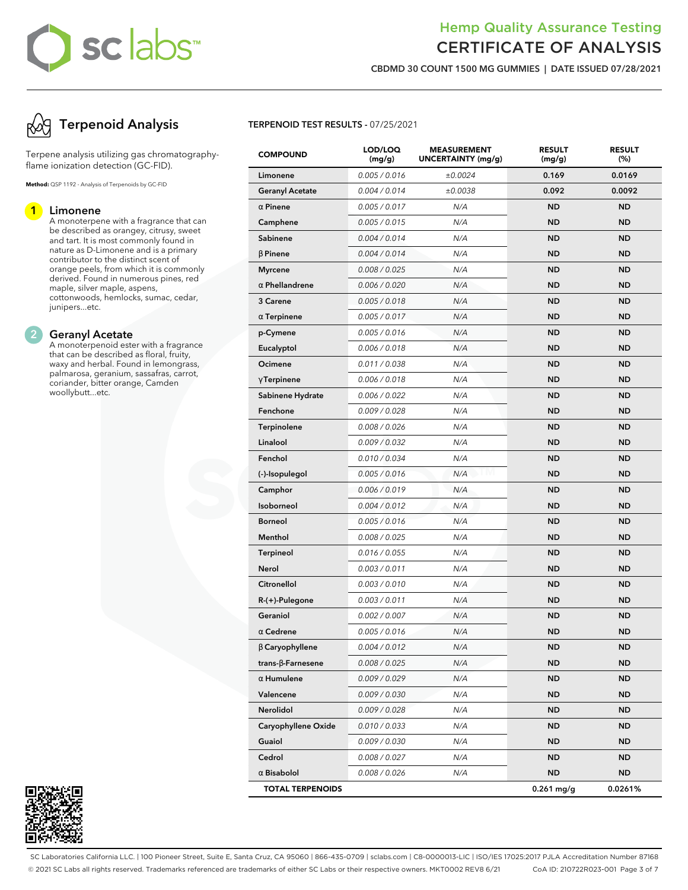## Hemp Quality Assurance Testing CERTIFICATE OF ANALYSIS

**CBDMD 30 COUNT 1500 MG GUMMIES | DATE ISSUED 07/28/2021**

# **Terpenoid Analysis**

Terpene analysis utilizing gas chromatographyflame ionization detection (GC-FID).

**Method:** QSP 1192 - Analysis of Terpenoids by GC-FID

## **1 Limonene**

A monoterpene with a fragrance that can be described as orangey, citrusy, sweet and tart. It is most commonly found in nature as D-Limonene and is a primary contributor to the distinct scent of orange peels, from which it is commonly derived. Found in numerous pines, red maple, silver maple, aspens, cottonwoods, hemlocks, sumac, cedar, junipers...etc.

### **2 Geranyl Acetate**

A monoterpenoid ester with a fragrance that can be described as floral, fruity, waxy and herbal. Found in lemongrass, palmarosa, geranium, sassafras, carrot, coriander, bitter orange, Camden woollybutt...etc.



### **TERPENOID TEST RESULTS -** 07/25/2021

| <b>COMPOUND</b>         | LOD/LOQ<br>(mg/g) | <b>MEASUREMENT</b><br>UNCERTAINTY (mg/g) | <b>RESULT</b><br>(mg/g) | <b>RESULT</b><br>(%) |
|-------------------------|-------------------|------------------------------------------|-------------------------|----------------------|
| Limonene                | 0.005 / 0.016     | ±0.0024                                  | 0.169                   | 0.0169               |
| <b>Geranyl Acetate</b>  | 0.004 / 0.014     | ±0.0038                                  | 0.092                   | 0.0092               |
| $\alpha$ Pinene         | 0.005 / 0.017     | N/A                                      | <b>ND</b>               | <b>ND</b>            |
| Camphene                | 0.005 / 0.015     | N/A                                      | ND                      | <b>ND</b>            |
| Sabinene                | 0.004 / 0.014     | N/A                                      | <b>ND</b>               | <b>ND</b>            |
| $\beta$ Pinene          | 0.004 / 0.014     | N/A                                      | <b>ND</b>               | <b>ND</b>            |
| <b>Myrcene</b>          | 0.008 / 0.025     | N/A                                      | ND                      | <b>ND</b>            |
| $\alpha$ Phellandrene   | 0.006 / 0.020     | N/A                                      | ND                      | <b>ND</b>            |
| 3 Carene                | 0.005 / 0.018     | N/A                                      | <b>ND</b>               | <b>ND</b>            |
| $\alpha$ Terpinene      | 0.005 / 0.017     | N/A                                      | ND                      | <b>ND</b>            |
| p-Cymene                | 0.005 / 0.016     | N/A                                      | <b>ND</b>               | <b>ND</b>            |
| Eucalyptol              | 0.006 / 0.018     | N/A                                      | <b>ND</b>               | <b>ND</b>            |
| Ocimene                 | 0.011 / 0.038     | N/A                                      | ND                      | <b>ND</b>            |
| $\gamma$ Terpinene      | 0.006 / 0.018     | N/A                                      | ND                      | <b>ND</b>            |
| Sabinene Hydrate        | 0.006 / 0.022     | N/A                                      | <b>ND</b>               | <b>ND</b>            |
| Fenchone                | 0.009 / 0.028     | N/A                                      | ND                      | <b>ND</b>            |
| <b>Terpinolene</b>      | 0.008 / 0.026     | N/A                                      | <b>ND</b>               | <b>ND</b>            |
| Linalool                | 0.009 / 0.032     | N/A                                      | <b>ND</b>               | <b>ND</b>            |
| Fenchol                 | 0.010 / 0.034     | N/A                                      | ND                      | <b>ND</b>            |
| (-)-Isopulegol          | 0.005 / 0.016     | N/A                                      | ND                      | <b>ND</b>            |
| Camphor                 | 0.006 / 0.019     | N/A                                      | <b>ND</b>               | <b>ND</b>            |
| Isoborneol              | 0.004 / 0.012     | N/A                                      | ND                      | <b>ND</b>            |
| <b>Borneol</b>          | 0.005 / 0.016     | N/A                                      | <b>ND</b>               | <b>ND</b>            |
| Menthol                 | 0.008 / 0.025     | N/A                                      | <b>ND</b>               | <b>ND</b>            |
| <b>Terpineol</b>        | 0.016 / 0.055     | N/A                                      | ND                      | <b>ND</b>            |
| <b>Nerol</b>            | 0.003 / 0.011     | N/A                                      | ND                      | <b>ND</b>            |
| Citronellol             | 0.003 / 0.010     | N/A                                      | <b>ND</b>               | <b>ND</b>            |
| $R-(+)$ -Pulegone       | 0.003 / 0.011     | N/A                                      | ND                      | <b>ND</b>            |
| Geraniol                | 0.002 / 0.007     | N/A                                      | ND                      | <b>ND</b>            |
| $\alpha$ Cedrene        | 0.005 / 0.016     | N/A                                      | <b>ND</b>               | <b>ND</b>            |
| $\beta$ Caryophyllene   | 0.004 / 0.012     | N/A                                      | ND                      | ND                   |
| trans-β-Farnesene       | 0.008 / 0.025     | N/A                                      | ND                      | <b>ND</b>            |
| $\alpha$ Humulene       | 0.009 / 0.029     | N/A                                      | <b>ND</b>               | <b>ND</b>            |
| Valencene               | 0.009 / 0.030     | N/A                                      | ND                      | ND.                  |
| Nerolidol               | 0.009 / 0.028     | N/A                                      | ND                      | ND.                  |
| Caryophyllene Oxide     | 0.010 / 0.033     | N/A                                      | <b>ND</b>               | <b>ND</b>            |
| Guaiol                  | 0.009 / 0.030     | N/A                                      | ND                      | ND                   |
| Cedrol                  | 0.008 / 0.027     | N/A                                      | ND                      | ND.                  |
| $\alpha$ Bisabolol      | 0.008 / 0.026     | N/A                                      | <b>ND</b>               | ND.                  |
| <b>TOTAL TERPENOIDS</b> |                   |                                          | $0.261$ mg/g            | 0.0261%              |

SC Laboratories California LLC. | 100 Pioneer Street, Suite E, Santa Cruz, CA 95060 | 866-435-0709 | sclabs.com | C8-0000013-LIC | ISO/IES 17025:2017 PJLA Accreditation Number 87168 © 2021 SC Labs all rights reserved. Trademarks referenced are trademarks of either SC Labs or their respective owners. MKT0002 REV8 6/21 CoA ID: 210722R023-001 Page 3 of 7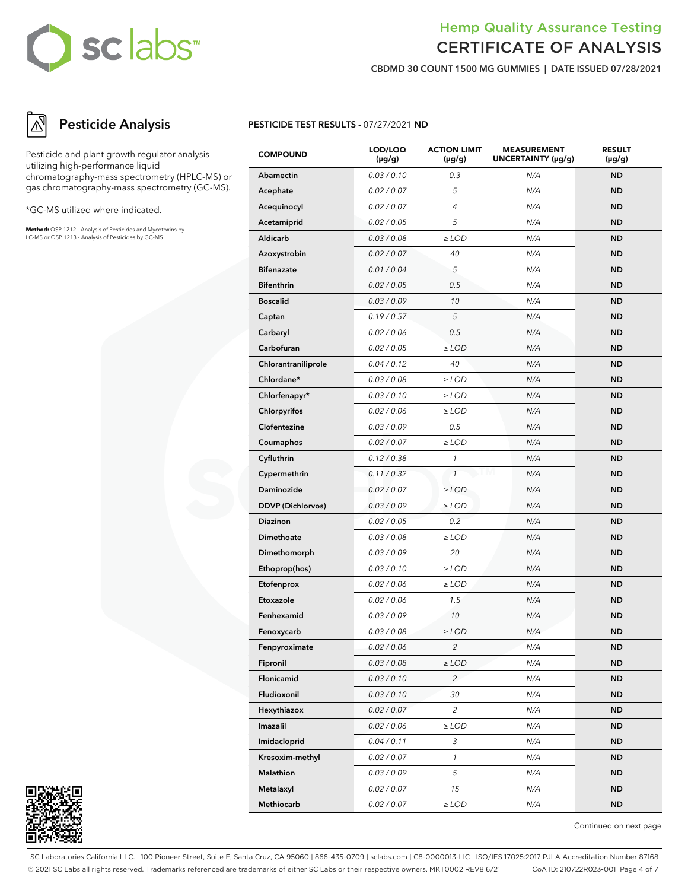## Hemp Quality Assurance Testing CERTIFICATE OF ANALYSIS

**CBDMD 30 COUNT 1500 MG GUMMIES | DATE ISSUED 07/28/2021**

# **Pesticide Analysis**

Pesticide and plant growth regulator analysis utilizing high-performance liquid chromatography-mass spectrometry (HPLC-MS) or gas chromatography-mass spectrometry (GC-MS).

\*GC-MS utilized where indicated.

**Method:** QSP 1212 - Analysis of Pesticides and Mycotoxins by LC-MS or QSP 1213 - Analysis of Pesticides by GC-MS

## **PESTICIDE TEST RESULTS -** 07/27/2021 **ND**

| <b>COMPOUND</b>          | LOD/LOQ<br>$(\mu g/g)$ | <b>ACTION LIMIT</b><br>(µg/g) | <b>MEASUREMENT</b><br>UNCERTAINTY (µg/g) | <b>RESULT</b><br>(µg/g) |
|--------------------------|------------------------|-------------------------------|------------------------------------------|-------------------------|
| Abamectin                | 0.03 / 0.10            | 0.3                           | N/A                                      | <b>ND</b>               |
| Acephate                 | 0.02 / 0.07            | 5                             | N/A                                      | <b>ND</b>               |
| Acequinocyl              | 0.02 / 0.07            | $\overline{4}$                | N/A                                      | <b>ND</b>               |
| Acetamiprid              | 0.02 / 0.05            | 5                             | N/A                                      | <b>ND</b>               |
| <b>Aldicarb</b>          | 0.03 / 0.08            | $\ge$ LOD                     | N/A                                      | <b>ND</b>               |
| Azoxystrobin             | 0.02 / 0.07            | 40                            | N/A                                      | <b>ND</b>               |
| <b>Bifenazate</b>        | 0.01 / 0.04            | 5                             | N/A                                      | <b>ND</b>               |
| <b>Bifenthrin</b>        | 0.02 / 0.05            | 0.5                           | N/A                                      | <b>ND</b>               |
| <b>Boscalid</b>          | 0.03 / 0.09            | 10                            | N/A                                      | <b>ND</b>               |
| Captan                   | 0.19/0.57              | 5                             | N/A                                      | <b>ND</b>               |
| Carbaryl                 | 0.02 / 0.06            | 0.5                           | N/A                                      | <b>ND</b>               |
| Carbofuran               | 0.02 / 0.05            | $\ge$ LOD                     | N/A                                      | <b>ND</b>               |
| Chlorantraniliprole      | 0.04 / 0.12            | 40                            | N/A                                      | <b>ND</b>               |
| Chlordane*               | 0.03 / 0.08            | $\geq$ LOD                    | N/A                                      | <b>ND</b>               |
| Chlorfenapyr*            | 0.03/0.10              | $\ge$ LOD                     | N/A                                      | <b>ND</b>               |
| Chlorpyrifos             | 0.02 / 0.06            | $\ge$ LOD                     | N/A                                      | <b>ND</b>               |
| Clofentezine             | 0.03 / 0.09            | 0.5                           | N/A                                      | <b>ND</b>               |
| Coumaphos                | 0.02 / 0.07            | $\geq$ LOD                    | N/A                                      | <b>ND</b>               |
| Cyfluthrin               | 0.12 / 0.38            | 1                             | N/A                                      | <b>ND</b>               |
| Cypermethrin             | 0.11 / 0.32            | $\mathbf{1}$                  | I M<br>N/A                               | <b>ND</b>               |
| <b>Daminozide</b>        | 0.02 / 0.07            | $\ge$ LOD                     | N/A                                      | <b>ND</b>               |
| <b>DDVP</b> (Dichlorvos) | 0.03 / 0.09            | $\geq$ LOD                    | N/A                                      | <b>ND</b>               |
| <b>Diazinon</b>          | 0.02 / 0.05            | 0.2                           | N/A                                      | <b>ND</b>               |
| <b>Dimethoate</b>        | 0.03 / 0.08            | $\ge$ LOD                     | N/A                                      | <b>ND</b>               |
| Dimethomorph             | 0.03 / 0.09            | 20                            | N/A                                      | <b>ND</b>               |
| Ethoprop(hos)            | 0.03 / 0.10            | $\geq$ LOD                    | N/A                                      | <b>ND</b>               |
| Etofenprox               | 0.02 / 0.06            | $\geq$ LOD                    | N/A                                      | <b>ND</b>               |
| Etoxazole                | 0.02 / 0.06            | 1.5                           | N/A                                      | <b>ND</b>               |
| Fenhexamid               | 0.03 / 0.09            | 10                            | N/A                                      | <b>ND</b>               |
| Fenoxycarb               | 0.03 / 0.08            | $>$ LOD                       | N/A                                      | <b>ND</b>               |
| Fenpyroximate            | 0.02 / 0.06            | 2                             | N/A                                      | ND                      |
| Fipronil                 | 0.03 / 0.08            | $\geq$ LOD                    | N/A                                      | <b>ND</b>               |
| Flonicamid               | 0.03 / 0.10            | $\overline{c}$                | N/A                                      | <b>ND</b>               |
| Fludioxonil              | 0.03 / 0.10            | 30                            | N/A                                      | <b>ND</b>               |
| Hexythiazox              | 0.02 / 0.07            | $\overline{c}$                | N/A                                      | <b>ND</b>               |
| Imazalil                 | 0.02 / 0.06            | $\ge$ LOD                     | N/A                                      | <b>ND</b>               |
| Imidacloprid             | 0.04 / 0.11            | 3                             | N/A                                      | <b>ND</b>               |
| Kresoxim-methyl          | 0.02 / 0.07            | $\mathcal{I}$                 | N/A                                      | <b>ND</b>               |
| Malathion                | 0.03 / 0.09            | $\sqrt{5}$                    | N/A                                      | <b>ND</b>               |
| Metalaxyl                | 0.02 / 0.07            | 15                            | N/A                                      | <b>ND</b>               |
| Methiocarb               | 0.02 / 0.07            | $\geq$ LOD                    | N/A                                      | <b>ND</b>               |



Continued on next page

SC Laboratories California LLC. | 100 Pioneer Street, Suite E, Santa Cruz, CA 95060 | 866-435-0709 | sclabs.com | C8-0000013-LIC | ISO/IES 17025:2017 PJLA Accreditation Number 87168 © 2021 SC Labs all rights reserved. Trademarks referenced are trademarks of either SC Labs or their respective owners. MKT0002 REV8 6/21 CoA ID: 210722R023-001 Page 4 of 7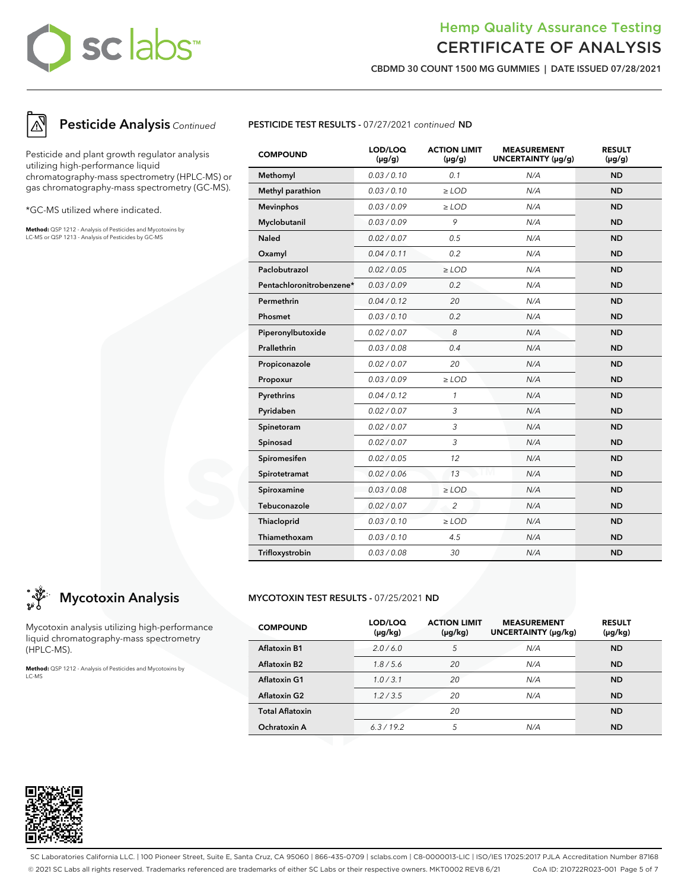## Hemp Quality Assurance Testing CERTIFICATE OF ANALYSIS

**CBDMD 30 COUNT 1500 MG GUMMIES | DATE ISSUED 07/28/2021**



## **Pesticide Analysis** Continued

Pesticide and plant growth regulator analysis utilizing high-performance liquid chromatography-mass spectrometry (HPLC-MS) or gas chromatography-mass spectrometry (GC-MS).

\*GC-MS utilized where indicated.

**Method:** QSP 1212 - Analysis of Pesticides and Mycotoxins by LC-MS or QSP 1213 - Analysis of Pesticides by GC-MS



| <b>COMPOUND</b>          | LOD/LOQ<br>$(\mu g/g)$ | <b>ACTION LIMIT</b><br>$(\mu g/g)$ | <b>MEASUREMENT</b><br>UNCERTAINTY (µg/g) | <b>RESULT</b><br>$(\mu g/g)$ |
|--------------------------|------------------------|------------------------------------|------------------------------------------|------------------------------|
| Methomyl                 | 0.03 / 0.10            | 0.1                                | N/A                                      | <b>ND</b>                    |
| Methyl parathion         | 0.03/0.10              | $\geq$ LOD                         | N/A                                      | <b>ND</b>                    |
| <b>Mevinphos</b>         | 0.03 / 0.09            | $\geq$ LOD                         | N/A                                      | <b>ND</b>                    |
| Myclobutanil             | 0.03/0.09              | 9                                  | N/A                                      | <b>ND</b>                    |
| <b>Naled</b>             | 0.02 / 0.07            | 0.5                                | N/A                                      | <b>ND</b>                    |
| Oxamyl                   | 0.04 / 0.11            | 0.2                                | N/A                                      | <b>ND</b>                    |
| Paclobutrazol            | 0.02 / 0.05            | $\geq$ LOD                         | N/A                                      | <b>ND</b>                    |
| Pentachloronitrobenzene* | 0.03 / 0.09            | 0.2                                | N/A                                      | <b>ND</b>                    |
| Permethrin               | 0.04 / 0.12            | 20                                 | N/A                                      | <b>ND</b>                    |
| Phosmet                  | 0.03/0.10              | 0.2                                | N/A                                      | <b>ND</b>                    |
| Piperonylbutoxide        | 0.02 / 0.07            | 8                                  | N/A                                      | <b>ND</b>                    |
| Prallethrin              | 0.03 / 0.08            | 0.4                                | N/A                                      | <b>ND</b>                    |
| Propiconazole            | 0.02 / 0.07            | 20                                 | N/A                                      | <b>ND</b>                    |
| Propoxur                 | 0.03 / 0.09            | $\ge$ LOD                          | N/A                                      | <b>ND</b>                    |
| Pyrethrins               | 0.04 / 0.12            | $\mathcal{I}$                      | N/A                                      | <b>ND</b>                    |
| Pyridaben                | 0.02 / 0.07            | 3                                  | N/A                                      | <b>ND</b>                    |
| Spinetoram               | 0.02 / 0.07            | 3                                  | N/A                                      | <b>ND</b>                    |
| Spinosad                 | 0.02 / 0.07            | 3                                  | N/A                                      | <b>ND</b>                    |
| Spiromesifen             | 0.02 / 0.05            | 12                                 | N/A                                      | <b>ND</b>                    |
| Spirotetramat            | 0.02 / 0.06            | 13                                 | N/A                                      | <b>ND</b>                    |
| Spiroxamine              | 0.03 / 0.08            | $\ge$ LOD                          | N/A                                      | <b>ND</b>                    |
| Tebuconazole             | 0.02 / 0.07            | $\overline{2}$                     | N/A                                      | <b>ND</b>                    |
| Thiacloprid              | 0.03 / 0.10            | $\geq$ LOD                         | N/A                                      | <b>ND</b>                    |
| Thiamethoxam             | 0.03/0.10              | 4.5                                | N/A                                      | <b>ND</b>                    |
| Trifloxystrobin          | 0.03/0.08              | 30                                 | N/A                                      | <b>ND</b>                    |

# **Mycotoxin Analysis**

Mycotoxin analysis utilizing high-performance liquid chromatography-mass spectrometry (HPLC-MS).

**Method:** QSP 1212 - Analysis of Pesticides and Mycotoxins by LC-MS

## **MYCOTOXIN TEST RESULTS -** 07/25/2021 **ND**

| <b>COMPOUND</b>        | LOD/LOQ<br>$(\mu g/kg)$ | <b>ACTION LIMIT</b><br>$(\mu g/kg)$ | <b>MEASUREMENT</b><br>UNCERTAINTY (µg/kg) | <b>RESULT</b><br>$(\mu g/kg)$ |
|------------------------|-------------------------|-------------------------------------|-------------------------------------------|-------------------------------|
| <b>Aflatoxin B1</b>    | 2.0/6.0                 | 5                                   | N/A                                       | <b>ND</b>                     |
| <b>Aflatoxin B2</b>    | 1.8/5.6                 | 20                                  | N/A                                       | <b>ND</b>                     |
| <b>Aflatoxin G1</b>    | 1.0/3.1                 | 20                                  | N/A                                       | <b>ND</b>                     |
| <b>Aflatoxin G2</b>    | 1.2/3.5                 | 20                                  | N/A                                       | <b>ND</b>                     |
| <b>Total Aflatoxin</b> |                         | 20                                  |                                           | <b>ND</b>                     |
| Ochratoxin A           | 6.3/19.2                | 5                                   | N/A                                       | <b>ND</b>                     |



SC Laboratories California LLC. | 100 Pioneer Street, Suite E, Santa Cruz, CA 95060 | 866-435-0709 | sclabs.com | C8-0000013-LIC | ISO/IES 17025:2017 PJLA Accreditation Number 87168 © 2021 SC Labs all rights reserved. Trademarks referenced are trademarks of either SC Labs or their respective owners. MKT0002 REV8 6/21 CoA ID: 210722R023-001 Page 5 of 7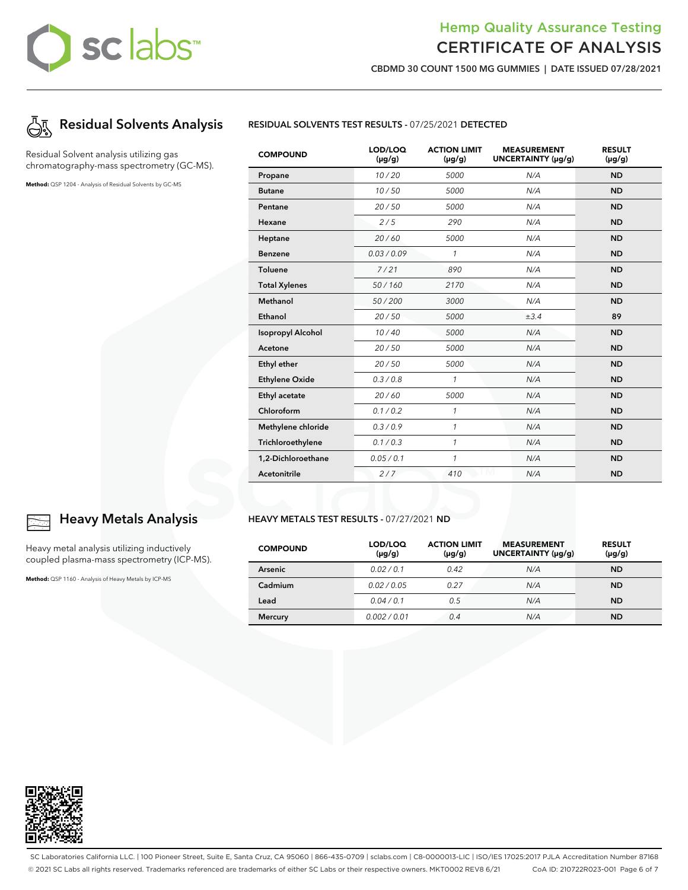# Hemp Quality Assurance Testing CERTIFICATE OF ANALYSIS

**CBDMD 30 COUNT 1500 MG GUMMIES | DATE ISSUED 07/28/2021**



Residual Solvent analysis utilizing gas chromatography-mass spectrometry (GC-MS).

**Method:** QSP 1204 - Analysis of Residual Solvents by GC-MS



| <b>COMPOUND</b>          | LOD/LOQ<br>$(\mu g/g)$ | <b>ACTION LIMIT</b><br>$(\mu g/g)$ | <b>MEASUREMENT</b><br>UNCERTAINTY (µg/g) | <b>RESULT</b><br>$(\mu g/g)$ |
|--------------------------|------------------------|------------------------------------|------------------------------------------|------------------------------|
| Propane                  | 10/20                  | 5000                               | N/A                                      | <b>ND</b>                    |
| <b>Butane</b>            | 10/50                  | 5000                               | N/A                                      | <b>ND</b>                    |
| Pentane                  | 20/50                  | 5000                               | N/A                                      | <b>ND</b>                    |
| Hexane                   | 2/5                    | 290                                | N/A                                      | <b>ND</b>                    |
| Heptane                  | 20/60                  | 5000                               | N/A                                      | <b>ND</b>                    |
| <b>Benzene</b>           | 0.03/0.09              | 1                                  | N/A                                      | <b>ND</b>                    |
| <b>Toluene</b>           | 7/21                   | 890                                | N/A                                      | <b>ND</b>                    |
| <b>Total Xylenes</b>     | 50/160                 | 2170                               | N/A                                      | <b>ND</b>                    |
| <b>Methanol</b>          | 50/200                 | 3000                               | N/A                                      | <b>ND</b>                    |
| Ethanol                  | 20/50                  | 5000                               | ±3.4                                     | 89                           |
| <b>Isopropyl Alcohol</b> | 10/40                  | 5000                               | N/A                                      | <b>ND</b>                    |
| Acetone                  | 20/50                  | 5000                               | N/A                                      | <b>ND</b>                    |
| Ethyl ether              | 20/50                  | 5000                               | N/A                                      | <b>ND</b>                    |
| <b>Ethylene Oxide</b>    | 0.3 / 0.8              | $\mathcal{I}$                      | N/A                                      | <b>ND</b>                    |
| Ethyl acetate            | 20/60                  | 5000                               | N/A                                      | <b>ND</b>                    |
| Chloroform               | 0.1 / 0.2              | 1                                  | N/A                                      | <b>ND</b>                    |
| Methylene chloride       | 0.3/0.9                | $\mathcal{I}$                      | N/A                                      | <b>ND</b>                    |
| Trichloroethylene        | 0.1 / 0.3              | $\mathcal{I}$                      | N/A                                      | <b>ND</b>                    |
| 1,2-Dichloroethane       | 0.05 / 0.1             | $\mathcal{I}$                      | N/A                                      | <b>ND</b>                    |
| <b>Acetonitrile</b>      | 2/7                    | 410                                | N/A                                      | <b>ND</b>                    |

#### **HEAVY METALS TEST RESULTS -** 07/27/2021 **ND**

| <b>COMPOUND</b> | LOD/LOQ<br>$(\mu g/g)$ | <b>ACTION LIMIT</b><br>$(\mu g/g)$ | <b>MEASUREMENT</b><br>UNCERTAINTY (µg/g) | <b>RESULT</b><br>$(\mu g/g)$ |
|-----------------|------------------------|------------------------------------|------------------------------------------|------------------------------|
| <b>Arsenic</b>  | 0.02/0.1               | 0.42                               | N/A                                      | <b>ND</b>                    |
| Cadmium         | 0.02/0.05              | 0.27                               | N/A                                      | <b>ND</b>                    |
| Lead            | 0.04/0.1               | 0.5                                | N/A                                      | <b>ND</b>                    |
| <b>Mercury</b>  | 0.002 / 0.01           | 0.4                                | N/A                                      | <b>ND</b>                    |



## **Heavy Metals Analysis**

Heavy metal analysis utilizing inductively coupled plasma-mass spectrometry (ICP-MS).

**Method:** QSP 1160 - Analysis of Heavy Metals by ICP-MS